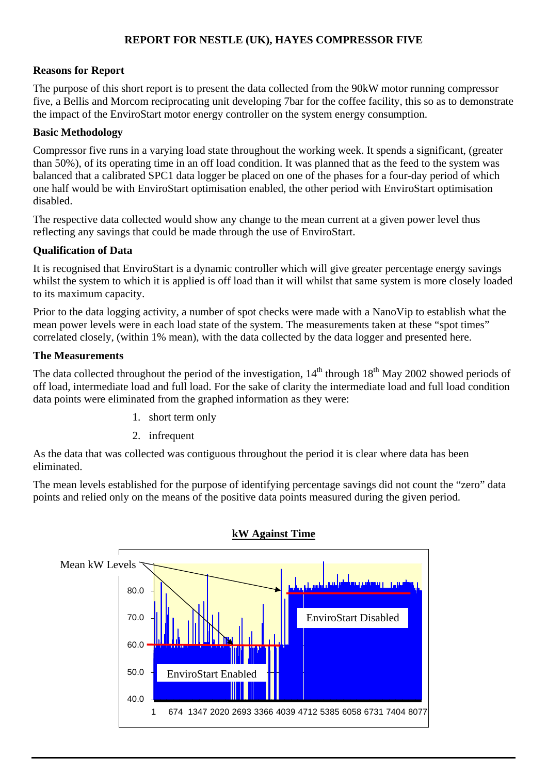# **REPORT FOR NESTLE (UK), HAYES COMPRESSOR FIVE**

#### **Reasons for Report**

The purpose of this short report is to present the data collected from the 90kW motor running compressor five, a Bellis and Morcom reciprocating unit developing 7bar for the coffee facility, this so as to demonstrate the impact of the EnviroStart motor energy controller on the system energy consumption.

#### **Basic Methodology**

Compressor five runs in a varying load state throughout the working week. It spends a significant, (greater than 50%), of its operating time in an off load condition. It was planned that as the feed to the system was balanced that a calibrated SPC1 data logger be placed on one of the phases for a four-day period of which one half would be with EnviroStart optimisation enabled, the other period with EnviroStart optimisation disabled.

The respective data collected would show any change to the mean current at a given power level thus reflecting any savings that could be made through the use of EnviroStart.

## **Qualification of Data**

It is recognised that EnviroStart is a dynamic controller which will give greater percentage energy savings whilst the system to which it is applied is off load than it will whilst that same system is more closely loaded to its maximum capacity.

Prior to the data logging activity, a number of spot checks were made with a NanoVip to establish what the mean power levels were in each load state of the system. The measurements taken at these "spot times" correlated closely, (within 1% mean), with the data collected by the data logger and presented here.

#### **The Measurements**

The data collected throughout the period of the investigation,  $14<sup>th</sup>$  through  $18<sup>th</sup>$  May 2002 showed periods of off load, intermediate load and full load. For the sake of clarity the intermediate load and full load condition data points were eliminated from the graphed information as they were:

- 1. short term only
- 2. infrequent

As the data that was collected was contiguous throughout the period it is clear where data has been eliminated.

The mean levels established for the purpose of identifying percentage savings did not count the "zero" data points and relied only on the means of the positive data points measured during the given period.